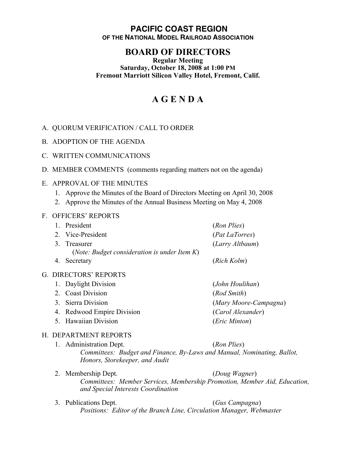### **PACIFIC COAST REGION OF THE NATIONAL MODEL RAILROAD ASSOCIATION**

# **BOARD OF DIRECTORS**

#### **Regular Meeting Saturday, October 18, 2008 at 1:00 PM Fremont Marriott Silicon Valley Hotel, Fremont, Calif.**

# **A G E N D A**

## A. QUORUM VERIFICATION / CALL TO ORDER

B. ADOPTION OF THE AGENDA

#### C. WRITTEN COMMUNICATIONS

D. MEMBER COMMENTS (comments regarding matters not on the agenda)

#### E. APPROVAL OF THE MINUTES

- 1. Approve the Minutes of the Board of Directors Meeting on April 30, 2008
- 2. Approve the Minutes of the Annual Business Meeting on May 4, 2008

#### F. OFFICERS' REPORTS

| $\mathbf{1}$          | President                                                             | (Ron Plies)                         |
|-----------------------|-----------------------------------------------------------------------|-------------------------------------|
|                       | 2. Vice-President                                                     | (Pat LaTorres)                      |
|                       | 3. Treasurer<br>( <i>Note: Budget consideration is under Item K</i> ) | (Larry Altbaum)                     |
|                       | 4. Secretary                                                          | (Rich Kolm)                         |
| G. DIRECTORS' REPORTS |                                                                       |                                     |
|                       | 1. Daylight Division                                                  | (John Houlihan)                     |
|                       | $\gamma$ $\gamma$ $\gamma$ $\gamma$ $\gamma$                          | $\left( n, 1, 0, \ldots, n \right)$ |

2. Coast Division (*Rod Smith*) 3. Sierra Division (*Mary Moore-Campagna*) 4. Redwood Empire Division (*Carol Alexander*) 5. Hawaiian Division (*Eric Minton*)

#### H. DEPARTMENT REPORTS

- 
- 1. Administration Dept. (*Ron Plies*) *Committees: Budget and Finance, By-Laws and Manual, Nominating, Ballot, Honors, Storekeeper, and Audit*
- 2. Membership Dept. (*Doug Wagner*) *Committees: Member Services, Membership Promotion, Member Aid, Education, and Special Interests Coordination*
- 3. Publications Dept. (*Gus Campagna*) *Positions: Editor of the Branch Line, Circulation Manager, Webmaster*